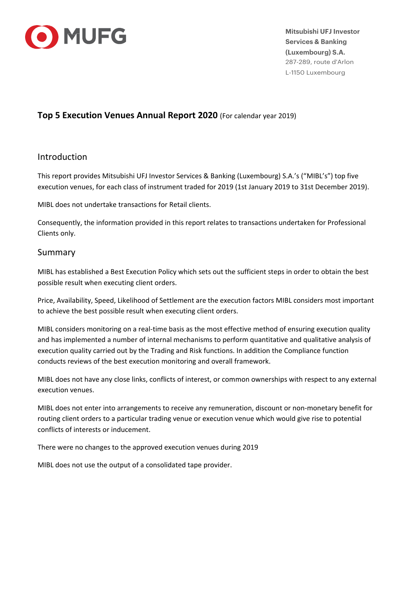

**Mitsubishi UFJ Investor Services & Banking (Luxembourg) S.A.**  287-289, route d'Arlon L-1150 Luxembourg

## **Top 5 Execution Venues Annual Report 2020** (For calendar year 2019)

## Introduction

This report provides Mitsubishi UFJ Investor Services & Banking (Luxembourg) S.A.'s ("MIBL's") top five execution venues, for each class of instrument traded for 2019 (1st January 2019 to 31st December 2019).

MIBL does not undertake transactions for Retail clients.

Consequently, the information provided in this report relates to transactions undertaken for Professional Clients only.

## Summary

MIBL has established a Best Execution Policy which sets out the sufficient steps in order to obtain the best possible result when executing client orders.

Price, Availability, Speed, Likelihood of Settlement are the execution factors MIBL considers most important to achieve the best possible result when executing client orders.

MIBL considers monitoring on a real-time basis as the most effective method of ensuring execution quality and has implemented a number of internal mechanisms to perform quantitative and qualitative analysis of execution quality carried out by the Trading and Risk functions. In addition the Compliance function conducts reviews of the best execution monitoring and overall framework.

MIBL does not have any close links, conflicts of interest, or common ownerships with respect to any external execution venues.

MIBL does not enter into arrangements to receive any remuneration, discount or non‐monetary benefit for routing client orders to a particular trading venue or execution venue which would give rise to potential conflicts of interests or inducement.

There were no changes to the approved execution venues during 2019

MIBL does not use the output of a consolidated tape provider.